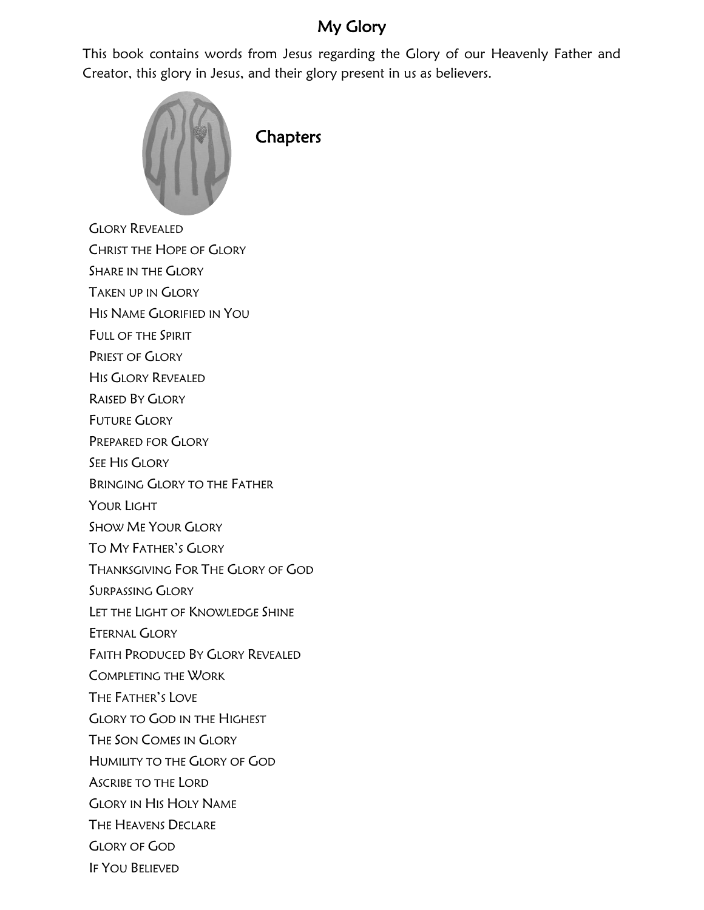## My Glory

This book contains words from Jesus regarding the Glory of our Heavenly Father and Creator, this glory in Jesus, and their glory present in us as believers.



**Chapters** 

GLORY REVEALED

CHRIST THE HOPE OF GLORY

SHARE IN THE GLORY

TAKEN UP IN GLORY

HIS NAME GLORIFIED IN YOU

FULL OF THE SPIRIT

PRIEST OF GLORY

HIS GLORY REVEALED

RAISED BY GLORY

FUTURE GLORY

PREPARED FOR GLORY

SEE HIS GLORY

BRINGING GLORY TO THE FATHER

YOUR LIGHT

SHOW ME YOUR GLORY

TO MY FATHER'S GLORY

THANKSGIVING FOR THE GLORY OF GOD

SURPASSING GLORY

LET THE LIGHT OF KNOWLEDGE SHINE

ETERNAL GLORY

FAITH PRODUCED BY GLORY REVEALED

COMPLETING THE WORK

THE FATHER'S LOVE

GLORY TO GOD IN THE HIGHEST

THE SON COMES IN GLORY

HUMILITY TO THE GLORY OF GOD

ASCRIBE TO THE LORD

GLORY IN HIS HOLY NAME

THE HEAVENS DECLARE

GLORY OF GOD

IF YOU BELIEVED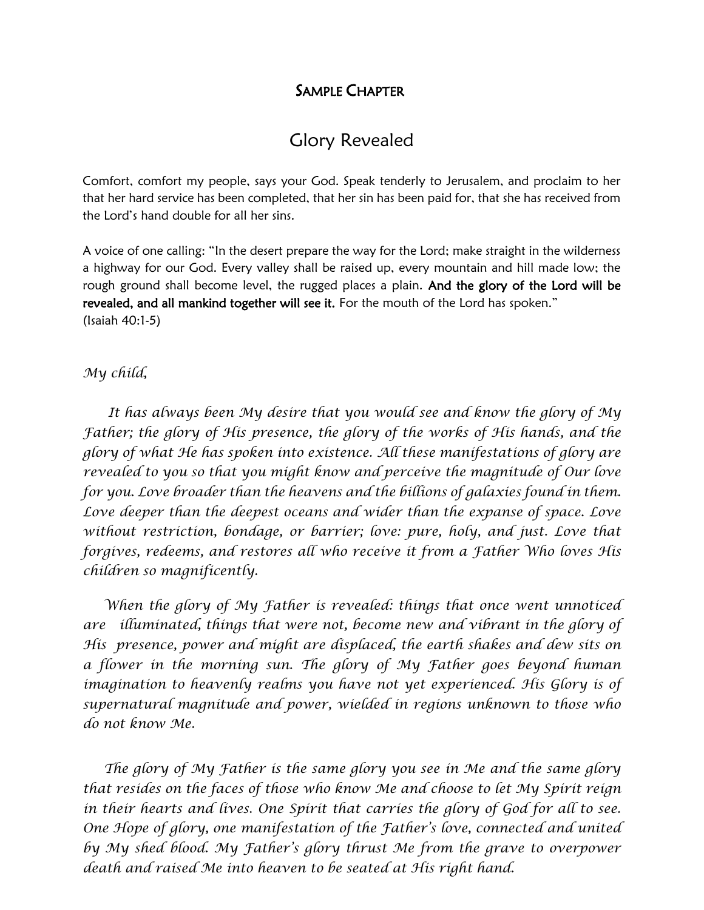#### SAMPLE CHAPTER

## Glory Revealed

Comfort, comfort my people, says your God. Speak tenderly to Jerusalem, and proclaim to her that her hard service has been completed, that her sin has been paid for, that she has received from the Lord's hand double for all her sins.

A voice of one calling: "In the desert prepare the way for the Lord; make straight in the wilderness a highway for our God. Every valley shall be raised up, every mountain and hill made low; the rough ground shall become level, the rugged places a plain. And the glory of the Lord will be revealed, and all mankind together will see it. For the mouth of the Lord has spoken." (Isaiah 40:1-5)

#### *My child,*

 *It has always been My desire that you would see and know the glory of My Father; the glory of His presence, the glory of the works of His hands, and the glory of what He has spoken into existence. All these manifestations of glory are revealed to you so that you might know and perceive the magnitude of Our love for you. Love broader than the heavens and the billions of galaxies found in them. Love deeper than the deepest oceans and wider than the expanse of space. Love without restriction, bondage, or barrier; love: pure, holy, and just. Love that forgives, redeems, and restores all who receive it from a Father Who loves His children so magnificently.* 

 *When the glory of My Father is revealed: things that once went unnoticed are illuminated, things that were not, become new and vibrant in the glory of His presence, power and might are displaced, the earth shakes and dew sits on a flower in the morning sun. The glory of My Father goes beyond human imagination to heavenly realms you have not yet experienced. His Glory is of supernatural magnitude and power, wielded in regions unknown to those who do not know Me.*

 *The glory of My Father is the same glory you see in Me and the same glory that resides on the faces of those who know Me and choose to let My Spirit reign in their hearts and lives. One Spirit that carries the glory of God for all to see. One Hope of glory, one manifestation of the Father's love, connected and united by My shed blood. My Father's glory thrust Me from the grave to overpower death and raised Me into heaven to be seated at His right hand.*